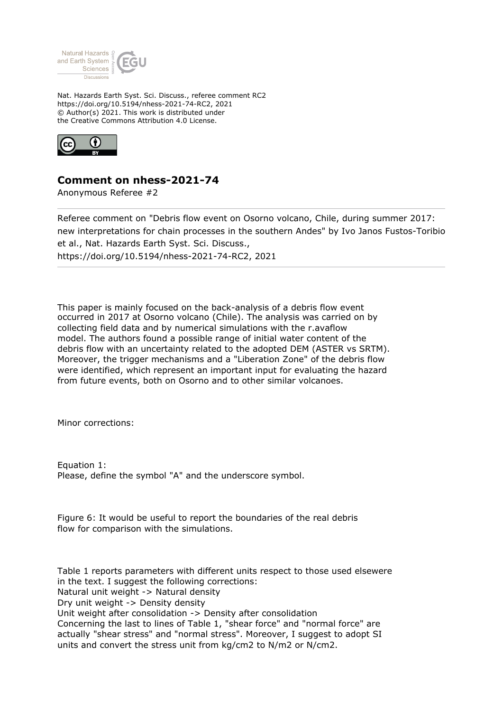

Nat. Hazards Earth Syst. Sci. Discuss., referee comment RC2 https://doi.org/10.5194/nhess-2021-74-RC2, 2021 © Author(s) 2021. This work is distributed under the Creative Commons Attribution 4.0 License.



## **Comment on nhess-2021-74**

Anonymous Referee #2

Referee comment on "Debris flow event on Osorno volcano, Chile, during summer 2017: new interpretations for chain processes in the southern Andes" by Ivo Janos Fustos-Toribio et al., Nat. Hazards Earth Syst. Sci. Discuss., https://doi.org/10.5194/nhess-2021-74-RC2, 2021

This paper is mainly focused on the back-analysis of a debris flow event occurred in 2017 at Osorno volcano (Chile). The analysis was carried on by collecting field data and by numerical simulations with the r.avaflow model. The authors found a possible range of initial water content of the debris flow with an uncertainty related to the adopted DEM (ASTER vs SRTM). Moreover, the trigger mechanisms and a "Liberation Zone" of the debris flow were identified, which represent an important input for evaluating the hazard from future events, both on Osorno and to other similar volcanoes.

Minor corrections:

Equation 1: Please, define the symbol "A" and the underscore symbol.

Figure 6: It would be useful to report the boundaries of the real debris flow for comparison with the simulations.

Table 1 reports parameters with different units respect to those used elsewere in the text. I suggest the following corrections: Natural unit weight -> Natural density Dry unit weight -> Density density Unit weight after consolidation -> Density after consolidation Concerning the last to lines of Table 1, "shear force" and "normal force" are actually "shear stress" and "normal stress". Moreover, I suggest to adopt SI units and convert the stress unit from kg/cm2 to N/m2 or N/cm2.